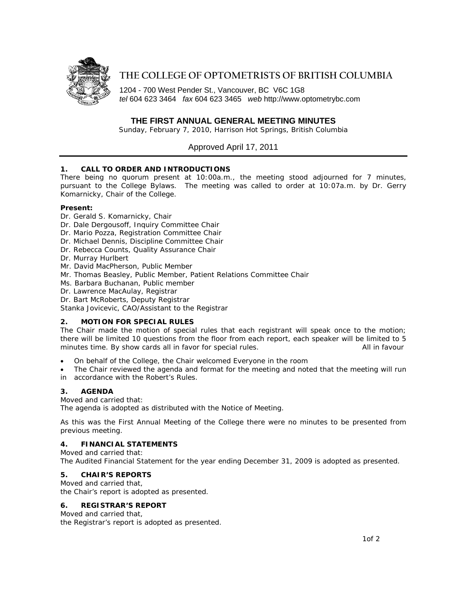

# **THE COLLEGE OF OPTOMETRISTS OF BRITISH COLUMBIA**

1204 - 700 West Pender St., Vancouver, BC V6C 1G8 *tel* 604 623 3464 *fax* 604 623 3465 *web* http://www.optometrybc.com

## **THE FIRST ANNUAL GENERAL MEETING MINUTES**

Sunday, February 7, 2010, Harrison Hot Springs, British Columbia

## Approved April 17, 2011

#### **1. CALL TO ORDER AND INTRODUCTIONS**

There being no quorum present at 10:00a.m., the meeting stood adjourned for 7 minutes, pursuant to the College Bylaws. The meeting was called to order at 10:07a.m. by Dr. Gerry Komarnicky, Chair of the College.

#### **Present:**

- Dr. Gerald S. Komarnicky, Chair
- Dr. Dale Dergousoff, Inquiry Committee Chair
- Dr. Mario Pozza, Registration Committee Chair
- Dr. Michael Dennis, Discipline Committee Chair
- Dr. Rebecca Counts, Quality Assurance Chair
- Dr. Murray Hurlbert
- Mr. David MacPherson, Public Member
- Mr. Thomas Beasley, Public Member, Patient Relations Committee Chair
- Ms. Barbara Buchanan, Public member
- Dr. Lawrence MacAulay, Registrar
- Dr. Bart McRoberts, Deputy Registrar

Stanka Jovicevic, CAO/Assistant to the Registrar

#### **2. MOTION FOR SPECIAL RULES**

The Chair made the motion of special rules that each registrant will speak once to the motion; there will be limited 10 questions from the floor from each report, each speaker will be limited to 5 minutes time. By show cards all in favor for special rules. The manner of the state of the favour

• On behalf of the College, the Chair welcomed Everyone in the room

The Chair reviewed the agenda and format for the meeting and noted that the meeting will run in accordance with the Robert's Rules.

#### **3. AGENDA**

Moved and carried that:

The agenda is adopted as distributed with the Notice of Meeting.

As this was the First Annual Meeting of the College there were no minutes to be presented from previous meeting.

#### **4. FINANCIAL STATEMENTS**

Moved and carried that: The Audited Financial Statement for the year ending December 31, 2009 is adopted as presented.

#### **5. CHAIR'S REPORTS**

Moved and carried that, the Chair's report is adopted as presented.

#### **6. REGISTRAR'S REPORT**

Moved and carried that, the Registrar's report is adopted as presented.